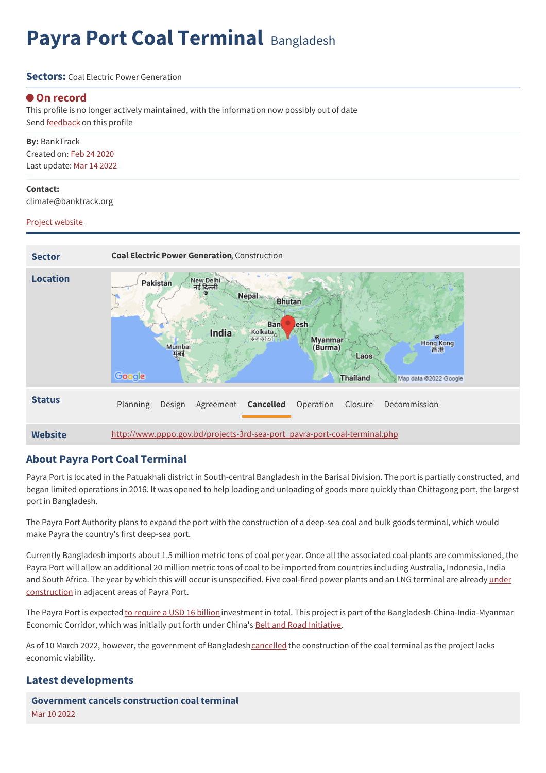# **Payra Port Coal Terminal** Bangladesh

#### **Sectors:** Coal Flectric Power Generation

#### **On record**

This profile is no longer actively maintained, with the information now possibly out of date Send **[feedback](https://www.banktrack.org/feedback/dodgydeal/payra_port)** on this profile

**By:** BankTrack Created on: Feb 24 2020 Last update: Mar 14 2022

#### **Contact:**

climate@banktrack.org

#### Project [website](http://www.pppo.gov.bd/projects-3rd-sea-port_payra-port-coal-terminal.php)



#### **About Payra Port Coal Terminal**

Payra Port is located in the Patuakhali district in South-central Bangladesh in the Barisal Division. The port is partially constructed, and began limited operations in 2016. It was opened to help loading and unloading of goods more quickly than Chittagong port, the largest port in Bangladesh.

The Payra Port Authority plans to expand the port with the construction of a deep-sea coal and bulk goods terminal, which would make Payra the country's first deep-sea port.

Currently Bangladesh imports about 1.5 million metric tons of coal per year. Once all the associated coal plants are commissioned, the Payra Port will allow an additional 20 million metric tons of coal to be imported from countries including Australia, Indonesia, India and South Africa. The year by which this will occur is unspecified. Five coal-fired power plants and an LNG terminal are already under [construction](http://www.thedailystar.net/backpage/news/deal-signed-dredging-payra-port-1687678) in adjacent areas of Payra Port.

The Payra Port is expected to [require](https://dredgingandports.com/news/2020/payra-port-re-tenders-terminal-dredging-to-start-soon/) a USD 16 billion investment in total. This project is part of the Bangladesh-China-India-Myanmar Economic Corridor, which was initially put forth under China's Belt and Road [Initiative](http://reconnectingasia.csis.org/database/projects/payra-deep-sea-port-construction/29017d80-6361-42de-80b8-a279982dc4fc/).

As of 10 March 2022, however, the government of Bangladesh[cancelled](https://www.businessinsiderbd.com/economy/news/18835/govt-steps-back-from-coal-handling-terminal-at-payra-port) the construction of the coal terminal as the project lacks economic viability.

#### **Latest developments**

**Government cancels [construction](javascript:void(0)) coal terminal** Mar 10 2022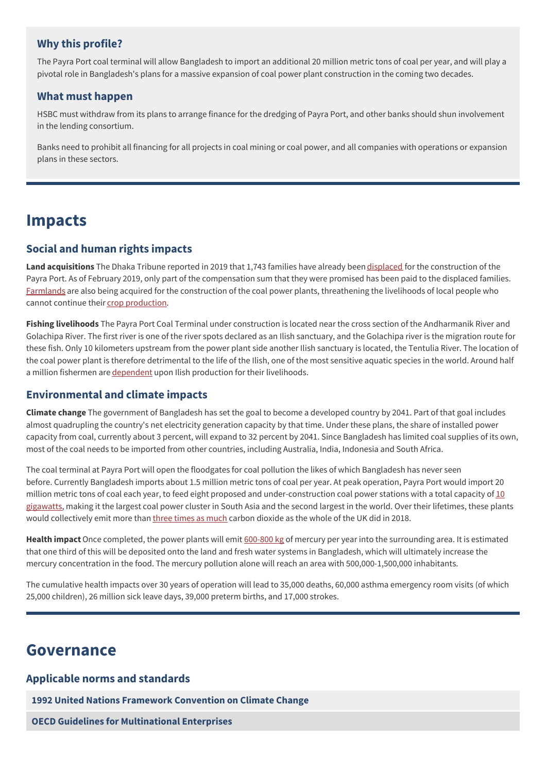#### **Why this profile?**

The Payra Port coal terminal will allow Bangladesh to import an additional 20 million metric tons of coal per year, and will play a pivotal role in Bangladesh's plans for a massive expansion of coal power plant construction in the coming two decades.

#### **What must happen**

HSBC must withdraw from its plans to arrange finance for the dredging of Payra Port, and other banks should shun involvement in the lending consortium.

Banks need to prohibit all financing for all projects in coal mining or coal power, and all companies with operations or expansion plans in these sectors.

### **Impacts**

#### **Social and human rights impacts**

**Land acquisitions** The Dhaka Tribune reported in 2019 that 1,743 families have already been [displaced](https://www.dhakatribune.com/bangladesh/development/2019/02/17/frustration-mounts-over-irregularities-in-payra-port-compensation-process) for the construction of the Payra Port. As of February 2019, only part of the compensation sum that they were promised has been paid to the displaced families. [Farmlands](https://www.thedailystar.net/frontpage/farmlands-near-payra-peril-1293292) are also being acquired for the construction of the coal power plants, threathening the livelihoods of local people who cannot continue their crop [production](https://www.dhakatribune.com/bangladesh/development/2019/02/17/frustration-mounts-over-irregularities-in-payra-port-compensation-process).

**Fishing livelihoods** The Payra Port Coal Terminal under construction is located near the cross section of the Andharmanik River and Golachipa River. The first river is one of the river spots declared as an Ilish sanctuary, and the Golachipa river is the migration route for these fish. Only 10 kilometers upstream from the power plant side another Ilish sanctuary is located, the Tentulia River. The location of the coal power plant is therefore detrimental to the life of the Ilish, one of the most sensitive aquatic species in the world. Around half a million fishermen are [dependent](https://www.dhakatribune.com/bangladesh/environment/2017/06/12/payra-coal-fired-power-plant-threat-ilish-sanctuaries) upon Ilish production for their livelihoods.

#### **Environmental and climate impacts**

**Climate change** The government of Bangladesh has set the goal to become a developed country by 2041. Part of that goal includes almost quadrupling the country's net electricity generation capacity by that time. Under these plans, the share of installed power capacity from coal, currently about 3 percent, will expand to 32 percent by 2041. Since Bangladesh has limited coal supplies of its own, most of the coal needs to be imported from other countries, including Australia, India, Indonesia and South Africa.

The coal terminal at Payra Port will open the floodgates for coal pollution the likes of which Bangladesh has never seen before. Currently Bangladesh imports about 1.5 million metric tons of coal per year. At peak operation, Payra Port would import 20 million metric tons of coal each year, to feed eight proposed and [under-construction](https://energyandcleanair.org/publications/air-quality-health-and-toxics-impacts-of-the-proposed-coal-power-cluster-in-payra-bangladesh/) coal power stations with a total capacity of  $10$ gigawatts, making it the largest coal power cluster in South Asia and the second largest in the world. Over their lifetimes, these plants would collectively emit more than three times as [much](https://asiatimes.com/2020/01/hsbc-lags-as-finance-cleans-up-on-asian-energy/) carbon dioxide as the whole of the UK did in 2018.

**Health impact**Once completed, the power plants will emit [600-800](https://energyandcleanair.org/publications/air-quality-health-and-toxics-impacts-of-the-proposed-coal-power-cluster-in-payra-bangladesh/) kg of mercury per year into the surrounding area. It is estimated that one third of this will be deposited onto the land and fresh water systems in Bangladesh, which will ultimately increase the mercury concentration in the food. The mercury pollution alone will reach an area with 500,000-1,500,000 inhabitants.

The cumulative health impacts over 30 years of operation will lead to 35,000 deaths, 60,000 asthma emergency room visits (of which 25,000 children), 26 million sick leave days, 39,000 preterm births, and 17,000 strokes.

### **Governance**

#### **Applicable norms and standards**

**1992 United Nations Framework [Convention](https://unfccc.int/resource/docs/convkp/conveng.pdf) on Climate Change**

**OECD Guidelines for [Multinational](http://www.oecd.org/document/28/0,3746,en_2649_34889_2397532_1_1_1_1,00.html) Enterprises**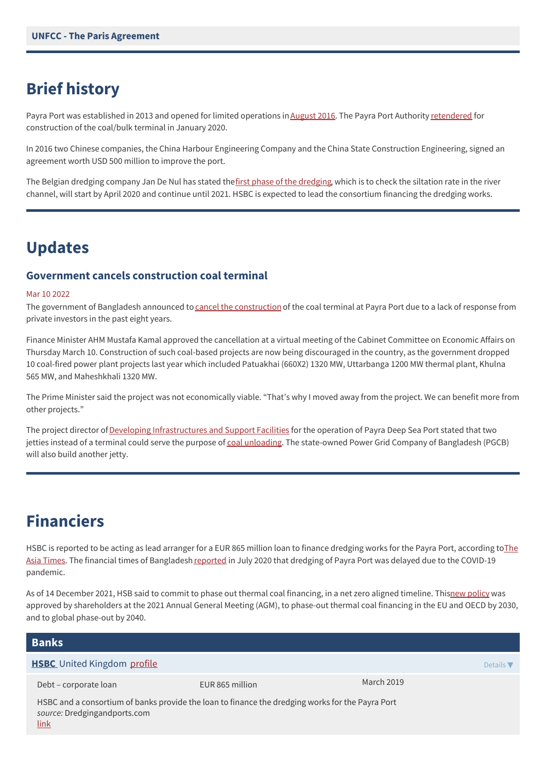# **Brief history**

Payra Port was established in 2013 and opened for limited operations in [August](http://businessnews24bd.com/payra-seaport-to-open-commercially-tomorrow/) 2016. The Payra Port Authority [retendered](https://dredgingandports.com/news/2020/payra-port-re-tenders-terminal-dredging-to-start-soon/) for construction of the coal/bulk terminal in January 2020.

In 2016 two Chinese companies, the China Harbour Engineering Company and the China State Construction Engineering, signed an agreement worth USD 500 million to improve the port.

The Belgian [dredging](https://www.newagebd.net/article/120233/govt-to-dredge-payra-port-channel-on-emergency-basis) company Jan De Nul has stated thefirst phase of the dredging, which is to check the siltation rate in the river channel, will start by April 2020 and continue until 2021. HSBC is expected to lead the consortium financing the dredging works.

### **Updates**

#### **Government cancels construction coal terminal**

#### Mar 10 2022

The government of Bangladesh announced to cancel the [construction](https://www.businessinsiderbd.com/economy/news/18835/govt-steps-back-from-coal-handling-terminal-at-payra-port) of the coal terminal at Payra Port due to a lack of response from private investors in the past eight years.

Finance Minister AHM Mustafa Kamal approved the cancellation at a virtual meeting of the Cabinet Committee on Economic Affairs on Thursday March 10. Construction of such coal-based projects are now being discouraged in the country, as the government dropped 10 coal-fired power plant projects last year which included Patuakhai (660X2) 1320 MW, Uttarbanga 1200 MW thermal plant, Khulna 565 MW, and Maheshkhali 1320 MW.

The Prime Minister said the project was not economically viable. "That's why I moved away from the project. We can benefit more from other projects."

The project director of Developing [Infrastructures](https://www.iifc.gov.bd/ongoing_project.php) and Support Facilities for the operation of Payra Deep Sea Port stated that two jetties instead of a terminal could serve the purpose of coal [unloading.](https://bizdatainsights.com/government-drops-coal-terminal-project/) The state-owned Power Grid Company of Bangladesh (PGCB) will also build another jetty.

## **Financiers**

HSBC is reported to be acting as lead arranger for a EUR 865 million loan to finance dredging works for the Payra Port, according toThe Asia Times. The financial times of [Bangladesh](https://asiatimes.com/2020/01/hsbc-lags-as-finance-cleans-up-on-asian-energy/) [reported](https://www.thefinancialexpress.com.bd/trade/virus-stalls-six-ppp-projects-1595649414) in July 2020 that dredging of Payra Port was delayed due to the COVID-19 pandemic.

As of 14 December 2021, HSB said to commit to phase out thermal coal financing, in a net zero aligned timeline. Thisnew [policy](http://file///Users/savonvandenberk/Downloads/211214-hsbc-thermal-coal-phase-out-policy.pdf) was approved by shareholders at the 2021 Annual General Meeting (AGM), to phase-out thermal coal financing in the EU and OECD by 2030, and to global phase-out by 2040.

| <b>Banks</b>                                                                                                                                    |                 |            |                              |
|-------------------------------------------------------------------------------------------------------------------------------------------------|-----------------|------------|------------------------------|
| <b>HSBC</b> United Kingdom profile                                                                                                              |                 |            | Details $\blacktriangledown$ |
| Debt - corporate loan                                                                                                                           | EUR 865 million | March 2019 |                              |
| HSBC and a consortium of banks provide the loan to finance the dredging works for the Payra Port<br>source: Dredgingandports.com<br><u>link</u> |                 |            |                              |